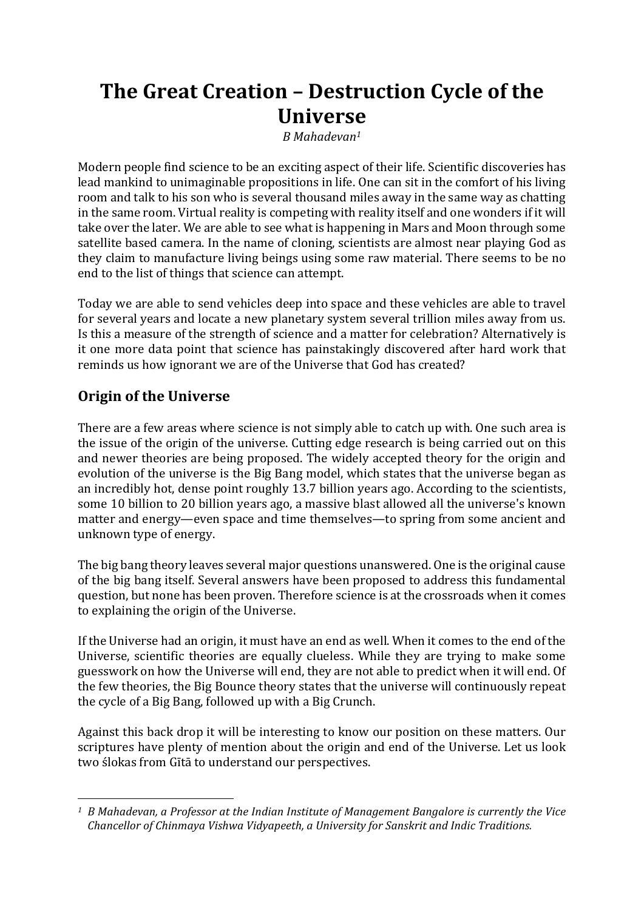# **The Great Creation – Destruction Cycle of the Universe**

*B Mahadevan1*

Modern people find science to be an exciting aspect of their life. Scientific discoveries has lead mankind to unimaginable propositions in life. One can sit in the comfort of his living room and talk to his son who is several thousand miles away in the same way as chatting in the same room. Virtual reality is competing with reality itself and one wonders if it will take over the later. We are able to see what is happening in Mars and Moon through some satellite based camera. In the name of cloning, scientists are almost near playing God as they claim to manufacture living beings using some raw material. There seems to be no end to the list of things that science can attempt.

Today we are able to send vehicles deep into space and these vehicles are able to travel for several years and locate a new planetary system several trillion miles away from us. Is this a measure of the strength of science and a matter for celebration? Alternatively is it one more data point that science has painstakingly discovered after hard work that reminds us how ignorant we are of the Universe that God has created?

### **Origin of the Universe**

There are a few areas where science is not simply able to catch up with. One such area is the issue of the origin of the universe. Cutting edge research is being carried out on this and newer theories are being proposed. The widely accepted theory for the origin and evolution of the universe is the Big Bang model, which states that the universe began as an incredibly hot, dense point roughly 13.7 billion years ago. According to the scientists, some 10 billion to 20 billion years ago, a massive blast allowed all the universe's known matter and energy—even space and time themselves—to spring from some ancient and unknown type of energy.

The big bang theory leaves several major questions unanswered. One is the original cause of the big bang itself. Several answers have been proposed to address this fundamental question, but none has been proven. Therefore science is at the crossroads when it comes to explaining the origin of the Universe.

If the Universe had an origin, it must have an end as well. When it comes to the end of the Universe, scientific theories are equally clueless. While they are trying to make some guesswork on how the Universe will end, they are not able to predict when it will end. Of the few theories, the Big Bounce theory states that the universe will continuously repeat the cycle of a Big Bang, followed up with a Big Crunch.

Against this back drop it will be interesting to know our position on these matters. Our scriptures have plenty of mention about the origin and end of the Universe. Let us look two ślokas from Gītā to understand our perspectives.

 *<sup>1</sup> B Mahadevan, a Professor at the Indian Institute of Management Bangalore is currently the Vice Chancellor of Chinmaya Vishwa Vidyapeeth, a University for Sanskrit and Indic Traditions.*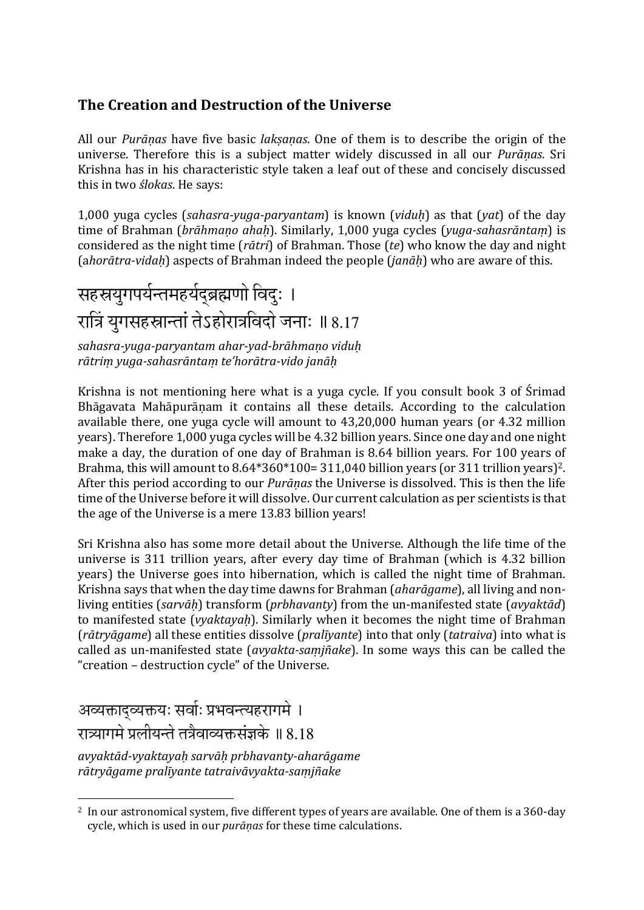### **The Creation and Destruction of the Universe**

All our *Purāṇas* have five basic *lakṣaṇas*. One of them is to describe the origin of the universe. Therefore this is a subject matter widely discussed in all our *Purāṇas*. Sri Krishna has in his characteristic style taken a leaf out of these and concisely discussed this in two *ślokas*. He says:

1,000 yuga cycles (*sahasra‐yuga‐paryantam*) is known (*viduḥ*) as that (*yat*) of the day time of Brahman (*brāhmaṇo ahaḥ*). Similarly, 1,000 yuga cycles (*yuga‐sahasrāntaṃ*) is considered as the night time (*rātri*) of Brahman. Those (*te*) who know the day and night (a*horātra‐vidaḥ*) aspects of Brahman indeed the people (*janāḥ*) who are aware of this.

## सहस्रयुगपर्यन्तमहर्यद्ब्रह्मणो विदुः । रात्रिं युगसहस्रान्तां तेऽहोरात्रविदो जनाः ॥ 8.17

*sahasra‐yuga‐paryantam ahar‐yad‐brāhmaṇo viduḥ rātriṃ yuga‐sahasrāntaṃ te'horātra‐vido janāḥ* 

Krishna is not mentioning here what is a yuga cycle. If you consult book 3 of Śrimad Bhāgavata Mahāpurāṇam it contains all these details. According to the calculation available there, one yuga cycle will amount to 43,20,000 human years (or 4.32 million years). Therefore 1,000 yuga cycles will be 4.32 billion years. Since one day and one night make a day, the duration of one day of Brahman is 8.64 billion years. For 100 years of Brahma, this will amount to  $8.64*360*100=311,040$  billion years (or 311 trillion years)<sup>2</sup>. After this period according to our *Purāṇas* the Universe is dissolved. This is then the life time of the Universe before it will dissolve. Our current calculation as per scientists is that the age of the Universe is a mere 13.83 billion years!

Sri Krishna also has some more detail about the Universe. Although the life time of the universe is 311 trillion years, after every day time of Brahman (which is 4.32 billion years) the Universe goes into hibernation, which is called the night time of Brahman. Krishna says that when the day time dawns for Brahman (*aharāgame*), all living and nonliving entities (*sarvāḥ*) transform (*prbhavanty*) from the un-manifested state (*avyaktād*) to manifested state (*vyaktayaḥ*). Similarly when it becomes the night time of Brahman (*rātryāgame*) all these entities dissolve (*pralīyante*) into that only (*tatraiva*) into what is called as un-manifested state (*avyakta‐saṃjñake*). In some ways this can be called the "creation – destruction cycle" of the Universe.

अव्यक्ताद्व्यक्तयः सर्वाः प्रभवन्त्यहरागमे । रात्र्यागमे प्रलीयन्ते तत्रैवाव्यक्तसंज्ञके ॥ 8.18

*avyaktād‐vyaktayaḥ sarvāḥ prbhavanty‐aharāgame rātryāgame pralīyante tatraivāvyakta‐saṃjñake* 

<sup>2</sup> In our astronomical system, five different types of years are available. One of them is a 360-day cycle, which is used in our *purāṇas* for these time calculations.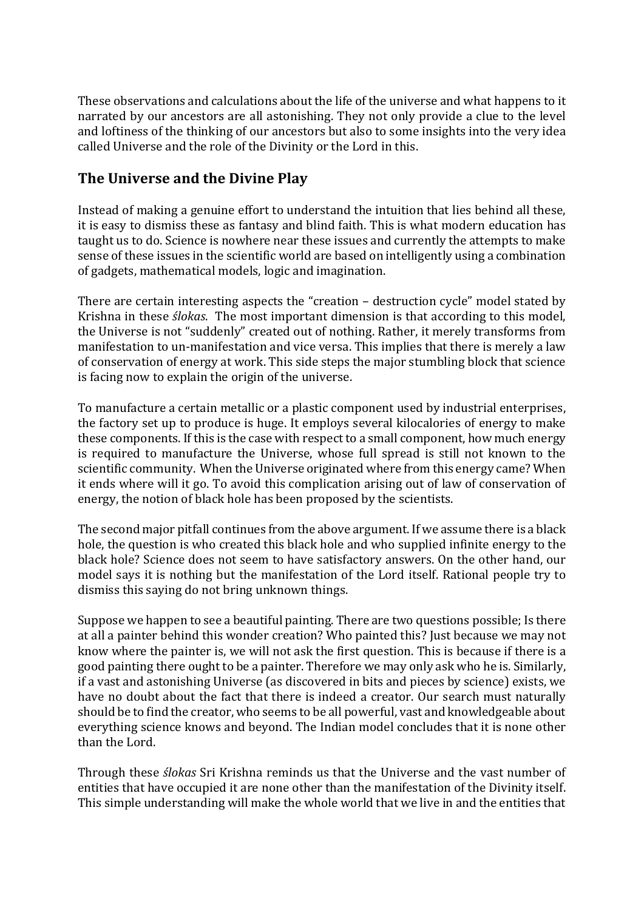These observations and calculations about the life of the universe and what happens to it narrated by our ancestors are all astonishing. They not only provide a clue to the level and loftiness of the thinking of our ancestors but also to some insights into the very idea called Universe and the role of the Divinity or the Lord in this.

#### **The Universe and the Divine Play**

Instead of making a genuine effort to understand the intuition that lies behind all these, it is easy to dismiss these as fantasy and blind faith. This is what modern education has taught us to do. Science is nowhere near these issues and currently the attempts to make sense of these issues in the scientific world are based on intelligently using a combination of gadgets, mathematical models, logic and imagination.

There are certain interesting aspects the "creation – destruction cycle" model stated by Krishna in these *ślokas*. The most important dimension is that according to this model, the Universe is not "suddenly" created out of nothing. Rather, it merely transforms from manifestation to un-manifestation and vice versa. This implies that there is merely a law of conservation of energy at work. This side steps the major stumbling block that science is facing now to explain the origin of the universe.

To manufacture a certain metallic or a plastic component used by industrial enterprises, the factory set up to produce is huge. It employs several kilocalories of energy to make these components. If this is the case with respect to a small component, how much energy is required to manufacture the Universe, whose full spread is still not known to the scientific community. When the Universe originated where from this energy came? When it ends where will it go. To avoid this complication arising out of law of conservation of energy, the notion of black hole has been proposed by the scientists.

The second major pitfall continues from the above argument. If we assume there is a black hole, the question is who created this black hole and who supplied infinite energy to the black hole? Science does not seem to have satisfactory answers. On the other hand, our model says it is nothing but the manifestation of the Lord itself. Rational people try to dismiss this saying do not bring unknown things.

Suppose we happen to see a beautiful painting. There are two questions possible; Is there at all a painter behind this wonder creation? Who painted this? Just because we may not know where the painter is, we will not ask the first question. This is because if there is a good painting there ought to be a painter. Therefore we may only ask who he is. Similarly, if a vast and astonishing Universe (as discovered in bits and pieces by science) exists, we have no doubt about the fact that there is indeed a creator. Our search must naturally should be to find the creator, who seems to be all powerful, vast and knowledgeable about everything science knows and beyond. The Indian model concludes that it is none other than the Lord.

Through these *ślokas* Sri Krishna reminds us that the Universe and the vast number of entities that have occupied it are none other than the manifestation of the Divinity itself. This simple understanding will make the whole world that we live in and the entities that